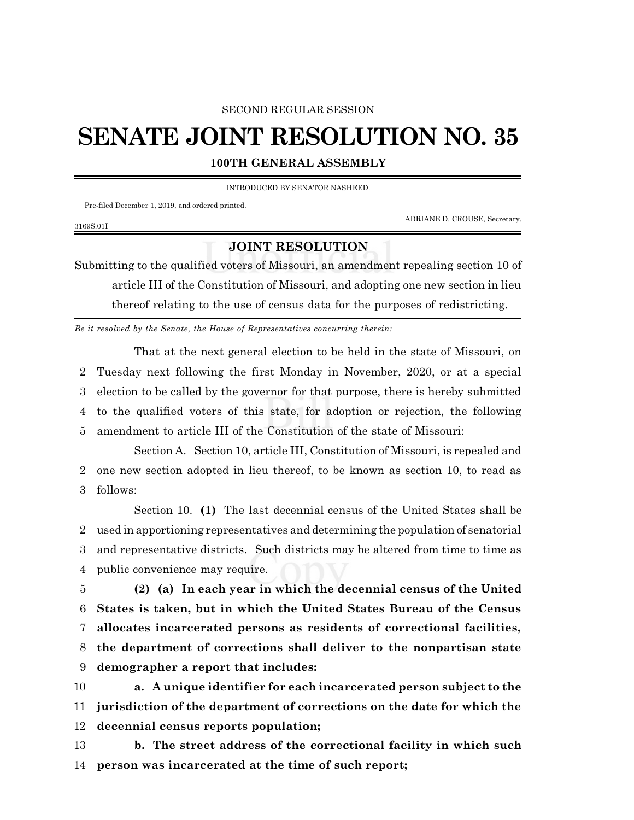## SECOND REGULAR SESSION

## **SENATE JOINT RESOLUTION NO. 35**

**100TH GENERAL ASSEMBLY**

INTRODUCED BY SENATOR NASHEED.

Pre-filed December 1, 2019, and ordered printed.

ADRIANE D. CROUSE, Secretary.

## 3169S.01I

## **JOINT RESOLUTION**

Submitting to the qualified voters of Missouri, an amendment repealing section 10 of article III of the Constitution of Missouri, and adopting one new section in lieu thereof relating to the use of census data for the purposes of redistricting.

*Be it resolved by the Senate, the House of Representatives concurring therein:*

That at the next general election to be held in the state of Missouri, on Tuesday next following the first Monday in November, 2020, or at a special election to be called by the governor for that purpose, there is hereby submitted to the qualified voters of this state, for adoption or rejection, the following amendment to article III of the Constitution of the state of Missouri:

Section A. Section 10, article III, Constitution of Missouri, is repealed and 2 one new section adopted in lieu thereof, to be known as section 10, to read as 3 follows:

Section 10. **(1)** The last decennial census of the United States shall be used in apportioning representatives and determining the population of senatorial and representative districts. Such districts may be altered from time to time as public convenience may require.

 **(2) (a) In each year in which the decennial census of the United States is taken, but in which the United States Bureau of the Census allocates incarcerated persons as residents of correctional facilities, the department of corrections shall deliver to the nonpartisan state demographer a report that includes:**

10 **a. A unique identifier for each incarcerated person subject to the** 11 **jurisdiction of the department of corrections on the date for which the** 12 **decennial census reports population;**

13 **b. The street address of the correctional facility in which such** 14 **person was incarcerated at the time of such report;**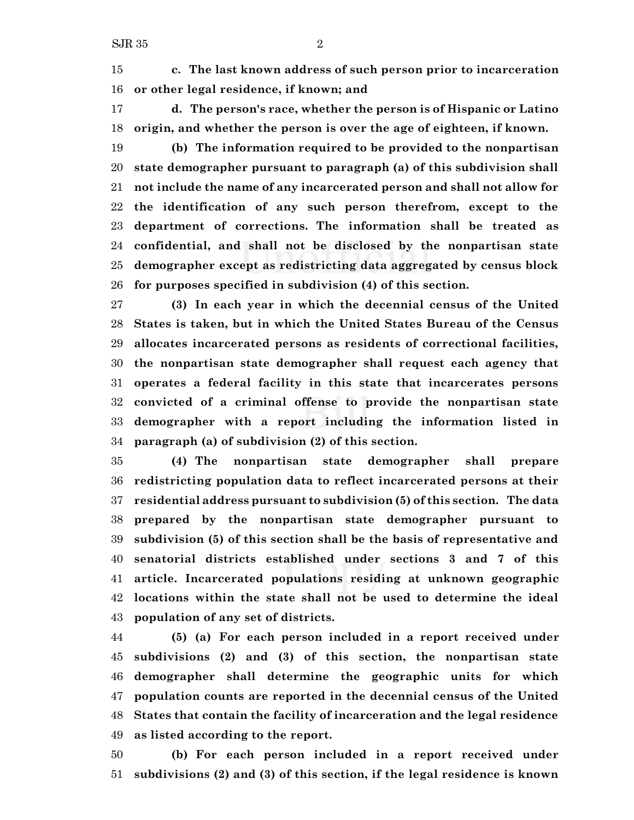**c. The last known address of such person prior to incarceration or other legal residence, if known; and**

 **d. The person's race, whether the person is of Hispanic or Latino origin, and whether the person is over the age of eighteen, if known.**

 **(b) The information required to be provided to the nonpartisan state demographer pursuant to paragraph (a) of this subdivision shall not include the name of any incarcerated person and shall not allow for the identification of any such person therefrom, except to the department of corrections. The information shall be treated as confidential, and shall not be disclosed by the nonpartisan state demographer except as redistricting data aggregated by census block for purposes specified in subdivision (4) of this section.**

 **(3) In each year in which the decennial census of the United States is taken, but in which the United States Bureau of the Census allocates incarcerated persons as residents of correctional facilities, the nonpartisan state demographer shall request each agency that operates a federal facility in this state that incarcerates persons convicted of a criminal offense to provide the nonpartisan state demographer with a report including the information listed in paragraph (a) of subdivision (2) of this section.**

 **(4) The nonpartisan state demographer shall prepare redistricting population data to reflect incarcerated persons at their residential address pursuant to subdivision (5) of this section. The data prepared by the nonpartisan state demographer pursuant to subdivision (5) of this section shall be the basis of representative and senatorial districts established under sections 3 and 7 of this article. Incarcerated populations residing at unknown geographic locations within the state shall not be used to determine the ideal population of any set of districts.**

 **(5) (a) For each person included in a report received under subdivisions (2) and (3) of this section, the nonpartisan state demographer shall determine the geographic units for which population counts are reported in the decennial census of the United States that contain the facility of incarceration and the legal residence as listed according to the report.**

 **(b) For each person included in a report received under subdivisions (2) and (3) of this section, if the legal residence is known**